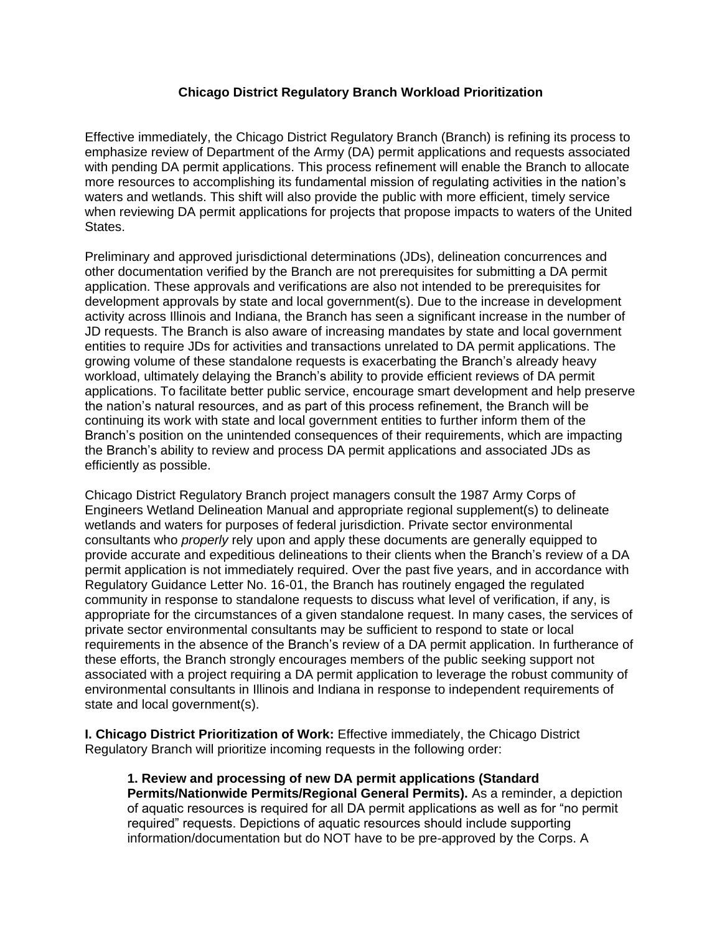## **Chicago District Regulatory Branch Workload Prioritization**

Effective immediately, the Chicago District Regulatory Branch (Branch) is refining its process to emphasize review of Department of the Army (DA) permit applications and requests associated with pending DA permit applications. This process refinement will enable the Branch to allocate more resources to accomplishing its fundamental mission of regulating activities in the nation's waters and wetlands. This shift will also provide the public with more efficient, timely service when reviewing DA permit applications for projects that propose impacts to waters of the United States.

Preliminary and approved jurisdictional determinations (JDs), delineation concurrences and other documentation verified by the Branch are not prerequisites for submitting a DA permit application. These approvals and verifications are also not intended to be prerequisites for development approvals by state and local government(s). Due to the increase in development activity across Illinois and Indiana, the Branch has seen a significant increase in the number of JD requests. The Branch is also aware of increasing mandates by state and local government entities to require JDs for activities and transactions unrelated to DA permit applications. The growing volume of these standalone requests is exacerbating the Branch's already heavy workload, ultimately delaying the Branch's ability to provide efficient reviews of DA permit applications. To facilitate better public service, encourage smart development and help preserve the nation's natural resources, and as part of this process refinement, the Branch will be continuing its work with state and local government entities to further inform them of the Branch's position on the unintended consequences of their requirements, which are impacting the Branch's ability to review and process DA permit applications and associated JDs as efficiently as possible.

Chicago District Regulatory Branch project managers consult the 1987 Army Corps of Engineers Wetland Delineation Manual and appropriate regional supplement(s) to delineate wetlands and waters for purposes of federal jurisdiction. Private sector environmental consultants who *properly* rely upon and apply these documents are generally equipped to provide accurate and expeditious delineations to their clients when the Branch's review of a DA permit application is not immediately required. Over the past five years, and in accordance with Regulatory Guidance Letter No. 16-01, the Branch has routinely engaged the regulated community in response to standalone requests to discuss what level of verification, if any, is appropriate for the circumstances of a given standalone request. In many cases, the services of private sector environmental consultants may be sufficient to respond to state or local requirements in the absence of the Branch's review of a DA permit application. In furtherance of these efforts, the Branch strongly encourages members of the public seeking support not associated with a project requiring a DA permit application to leverage the robust community of environmental consultants in Illinois and Indiana in response to independent requirements of state and local government(s).

**I. Chicago District Prioritization of Work:** Effective immediately, the Chicago District Regulatory Branch will prioritize incoming requests in the following order:

**1. Review and processing of new DA permit applications (Standard Permits/Nationwide Permits/Regional General Permits).** As a reminder, a depiction of aquatic resources is required for all DA permit applications as well as for "no permit required" requests. Depictions of aquatic resources should include supporting information/documentation but do NOT have to be pre-approved by the Corps. A